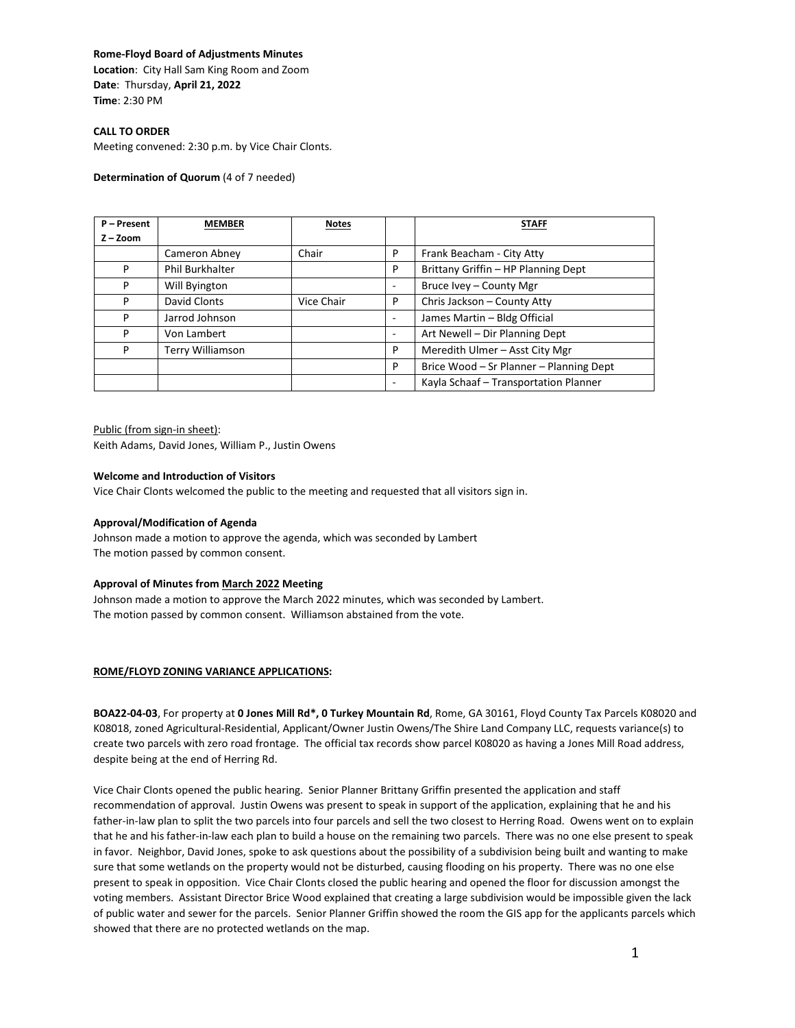### **Rome-Floyd Board of Adjustments Minutes**

**Location**: City Hall Sam King Room and Zoom **Date**: Thursday, **April 21, 2022 Time**: 2:30 PM

# **CALL TO ORDER**

Meeting convened: 2:30 p.m. by Vice Chair Clonts.

### **Determination of Quorum** (4 of 7 needed)

| P - Present | <b>MEMBER</b>           | <b>Notes</b> |                          | <b>STAFF</b>                            |
|-------------|-------------------------|--------------|--------------------------|-----------------------------------------|
| $Z - Zoom$  |                         |              |                          |                                         |
|             | Cameron Abney           | Chair        | P                        | Frank Beacham - City Atty               |
| P           | Phil Burkhalter         |              | P                        | Brittany Griffin - HP Planning Dept     |
| P           | Will Byington           |              |                          | Bruce Ivey - County Mgr                 |
| P           | David Clonts            | Vice Chair   | P                        | Chris Jackson - County Atty             |
| P           | Jarrod Johnson          |              | $\overline{\phantom{a}}$ | James Martin - Bldg Official            |
| P           | Von Lambert             |              | ٠                        | Art Newell - Dir Planning Dept          |
| P           | <b>Terry Williamson</b> |              | P                        | Meredith Ulmer - Asst City Mgr          |
|             |                         |              | P                        | Brice Wood - Sr Planner - Planning Dept |
|             |                         |              | ٠                        | Kayla Schaaf - Transportation Planner   |

# Public (from sign-in sheet):

Keith Adams, David Jones, William P., Justin Owens

#### **Welcome and Introduction of Visitors**

Vice Chair Clonts welcomed the public to the meeting and requested that all visitors sign in.

#### **Approval/Modification of Agenda**

Johnson made a motion to approve the agenda, which was seconded by Lambert The motion passed by common consent.

#### **Approval of Minutes from March 2022 Meeting**

Johnson made a motion to approve the March 2022 minutes, which was seconded by Lambert. The motion passed by common consent. Williamson abstained from the vote.

## **ROME/FLOYD ZONING VARIANCE APPLICATIONS:**

**BOA22-04-03**, For property at **0 Jones Mill Rd\*, 0 Turkey Mountain Rd**, Rome, GA 30161, Floyd County Tax Parcels K08020 and K08018, zoned Agricultural-Residential, Applicant/Owner Justin Owens/The Shire Land Company LLC, requests variance(s) to create two parcels with zero road frontage. The official tax records show parcel K08020 as having a Jones Mill Road address, despite being at the end of Herring Rd.

Vice Chair Clonts opened the public hearing. Senior Planner Brittany Griffin presented the application and staff recommendation of approval. Justin Owens was present to speak in support of the application, explaining that he and his father-in-law plan to split the two parcels into four parcels and sell the two closest to Herring Road. Owens went on to explain that he and his father-in-law each plan to build a house on the remaining two parcels. There was no one else present to speak in favor. Neighbor, David Jones, spoke to ask questions about the possibility of a subdivision being built and wanting to make sure that some wetlands on the property would not be disturbed, causing flooding on his property. There was no one else present to speak in opposition. Vice Chair Clonts closed the public hearing and opened the floor for discussion amongst the voting members. Assistant Director Brice Wood explained that creating a large subdivision would be impossible given the lack of public water and sewer for the parcels. Senior Planner Griffin showed the room the GIS app for the applicants parcels which showed that there are no protected wetlands on the map.